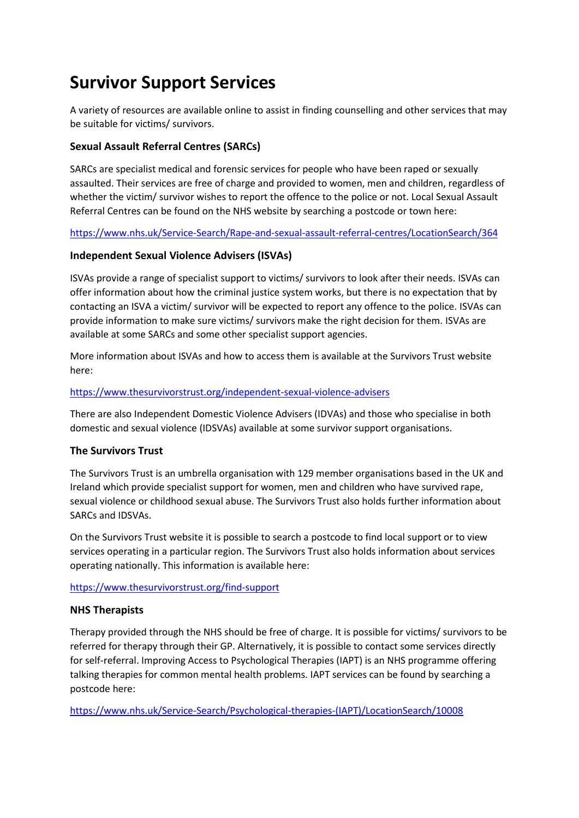# **Survivor Support Services**

A variety of resources are available online to assist in finding counselling and other services that may be suitable for victims/ survivors.

# **Sexual Assault Referral Centres (SARCs)**

SARCs are specialist medical and forensic services for people who have been raped or sexually assaulted. Their services are free of charge and provided to women, men and children, regardless of whether the victim/ survivor wishes to report the offence to the police or not. Local Sexual Assault Referral Centres can be found on the NHS website by searching a postcode or town here:

<https://www.nhs.uk/Service-Search/Rape-and-sexual-assault-referral-centres/LocationSearch/364>

# **Independent Sexual Violence Advisers (ISVAs)**

ISVAs provide a range of specialist support to victims/ survivors to look after their needs. ISVAs can offer information about how the criminal justice system works, but there is no expectation that by contacting an ISVA a victim/ survivor will be expected to report any offence to the police. ISVAs can provide information to make sure victims/ survivors make the right decision for them. ISVAs are available at some SARCs and some other specialist support agencies.

More information about ISVAs and how to access them is available at the Survivors Trust website here:

# <https://www.thesurvivorstrust.org/independent-sexual-violence-advisers>

There are also Independent Domestic Violence Advisers (IDVAs) and those who specialise in both domestic and sexual violence (IDSVAs) available at some survivor support organisations.

# **The Survivors Trust**

The Survivors Trust is an umbrella organisation with 129 member organisations based in the UK and Ireland which provide specialist support for women, men and children who have survived rape, sexual violence or childhood sexual abuse. The Survivors Trust also holds further information about SARCs and IDSVAs.

On the Survivors Trust website it is possible to search a postcode to find local support or to view services operating in a particular region. The Survivors Trust also holds information about services operating nationally. This information is available here:

<https://www.thesurvivorstrust.org/find-support>

# **NHS Therapists**

Therapy provided through the NHS should be free of charge. It is possible for victims/ survivors to be referred for therapy through their GP. Alternatively, it is possible to contact some services directly for self-referral. Improving Access to Psychological Therapies (IAPT) is an NHS programme offering talking therapies for common mental health problems. IAPT services can be found by searching a postcode here:

[https://www.nhs.uk/Service-Search/Psychological-therapies-\(IAPT\)/LocationSearch/10008](https://www.nhs.uk/Service-Search/Psychological-therapies-(IAPT)/LocationSearch/10008)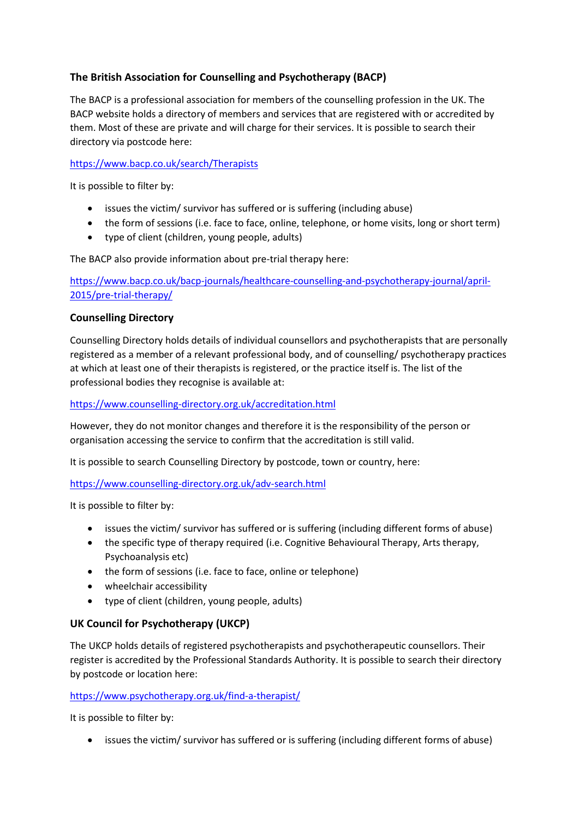# **The British Association for Counselling and Psychotherapy (BACP)**

The BACP is a professional association for members of the counselling profession in the UK. The BACP website holds a directory of members and services that are registered with or accredited by them. Most of these are private and will charge for their services. It is possible to search their directory via postcode here:

# <https://www.bacp.co.uk/search/Therapists>

It is possible to filter by:

- issues the victim/ survivor has suffered or is suffering (including abuse)
- the form of sessions (i.e. face to face, online, telephone, or home visits, long or short term)
- type of client (children, young people, adults)

The BACP also provide information about pre-trial therapy here:

[https://www.bacp.co.uk/bacp-journals/healthcare-counselling-and-psychotherapy-journal/april-](https://www.bacp.co.uk/bacp-journals/healthcare-counselling-and-psychotherapy-journal/april-2015/pre-trial-therapy/)[2015/pre-trial-therapy/](https://www.bacp.co.uk/bacp-journals/healthcare-counselling-and-psychotherapy-journal/april-2015/pre-trial-therapy/)

# **Counselling Directory**

Counselling Directory holds details of individual counsellors and psychotherapists that are personally registered as a member of a relevant professional body, and of counselling/ psychotherapy practices at which at least one of their therapists is registered, or the practice itself is. The list of the professional bodies they recognise is available at:

## <https://www.counselling-directory.org.uk/accreditation.html>

However, they do not monitor changes and therefore it is the responsibility of the person or organisation accessing the service to confirm that the accreditation is still valid.

It is possible to search Counselling Directory by postcode, town or country, here:

<https://www.counselling-directory.org.uk/adv-search.html>

It is possible to filter by:

- issues the victim/ survivor has suffered or is suffering (including different forms of abuse)
- the specific type of therapy required (i.e. Cognitive Behavioural Therapy, Arts therapy, Psychoanalysis etc)
- the form of sessions (i.e. face to face, online or telephone)
- wheelchair accessibility
- type of client (children, young people, adults)

# **UK Council for Psychotherapy (UKCP)**

The UKCP holds details of registered psychotherapists and psychotherapeutic counsellors. Their register is accredited by the Professional Standards Authority. It is possible to search their directory by postcode or location here:

# <https://www.psychotherapy.org.uk/find-a-therapist/>

It is possible to filter by:

• issues the victim/ survivor has suffered or is suffering (including different forms of abuse)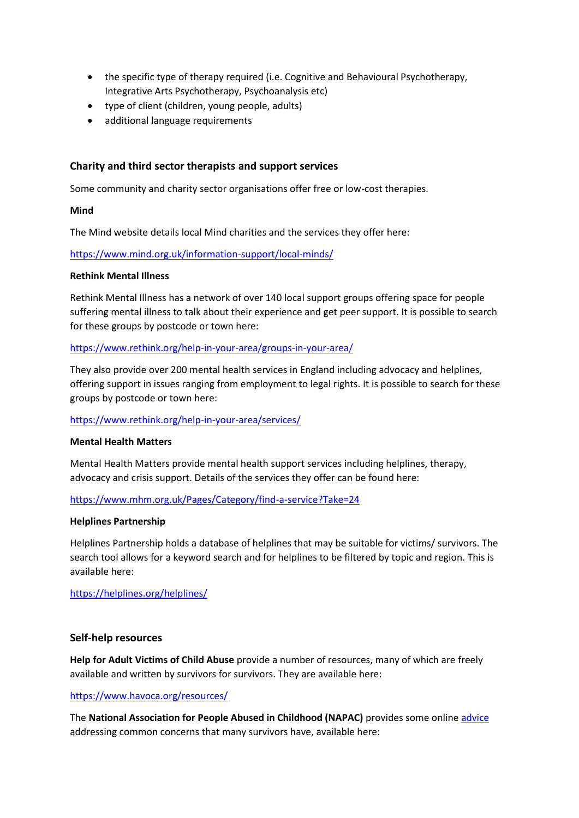- the specific type of therapy required (i.e. Cognitive and Behavioural Psychotherapy, Integrative Arts Psychotherapy, Psychoanalysis etc)
- type of client (children, young people, adults)
- additional language requirements

## **Charity and third sector therapists and support services**

Some community and charity sector organisations offer free or low-cost therapies.

#### **Mind**

The Mind website details local Mind charities and the services they offer here:

<https://www.mind.org.uk/information-support/local-minds/>

#### **Rethink Mental Illness**

Rethink Mental Illness has a network of over 140 local support groups offering space for people suffering mental illness to talk about their experience and get peer support. It is possible to search for these groups by postcode or town here:

#### <https://www.rethink.org/help-in-your-area/groups-in-your-area/>

They also provide over 200 mental health services in England including advocacy and helplines, offering support in issues ranging from employment to legal rights. It is possible to search for these groups by postcode or town here:

## <https://www.rethink.org/help-in-your-area/services/>

#### **Mental Health Matters**

Mental Health Matters provide mental health support services including helplines, therapy, advocacy and crisis support. Details of the services they offer can be found here:

<https://www.mhm.org.uk/Pages/Category/find-a-service?Take=24>

#### **Helplines Partnership**

Helplines Partnership holds a database of helplines that may be suitable for victims/ survivors. The search tool allows for a keyword search and for helplines to be filtered by topic and region. This is available here:

<https://helplines.org/helplines/>

## **Self-help resources**

**Help for Adult Victims of Child Abuse** provide a number of resources, many of which are freely available and written by survivors for survivors. They are available here:

## <https://www.havoca.org/resources/>

The **National Association for People Abused in Childhood (NAPAC)** provides some online [advice](https://eur02.safelinks.protection.outlook.com/?url=https%3A%2F%2Fnapac.org.uk%2Fcommon-concerns%2F&data=02%7C01%7Chelen.todd%40churchofengland.org%7Ca456287f24404ebef51008d72f8208d2%7C95e2463b3ab047b49ac1587c77ee84f0%7C0%7C1%7C637030107860695115&sdata=pKjgKiLXiSBuUGnUFJ3egOwNQuKwLTWgHDo2lRAwAho%3D&reserved=0) addressing common concerns that many survivors have, available here: